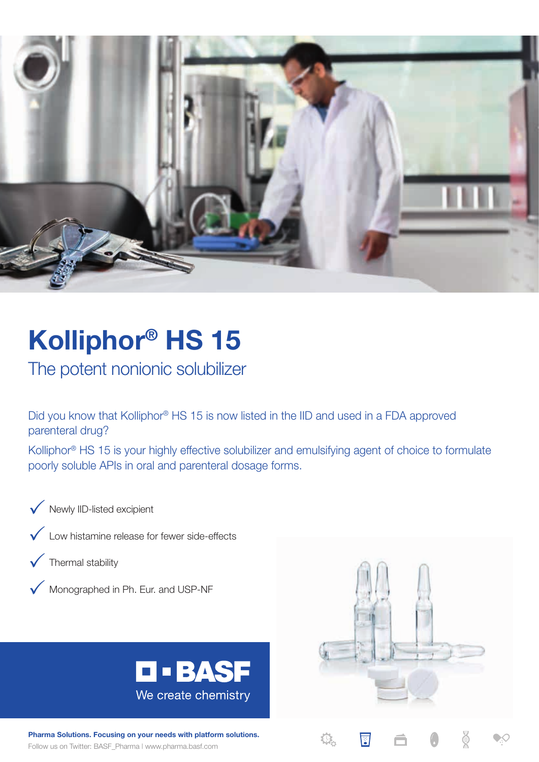

# **Kolliphor® HS 15**

The potent nonionic solubilizer

Did you know that Kolliphor® HS 15 is now listed in the IID and used in a FDA approved parenteral drug?

Kolliphor® HS 15 is your highly effective solubilizer and emulsifying agent of choice to formulate poorly soluble APIs in oral and parenteral dosage forms.

Newly IID-listed excipient





Monographed in Ph. Eur. and USP-NF





Follow us on Twitter: BASF\_Pharma | www.pharma.basf.com **Pharma Solutions. Focusing on your needs with platform solutions.**